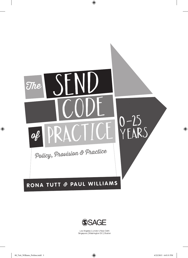



Los Angeles | London | New Delhi<br>Singapore | Washington DC | Boston

 $\bigoplus$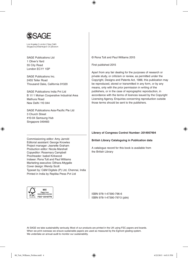

Los Angeles | London | New Delhi Singapore | Washington DC | Boston

SAGE Publications Ltd 1 Oliver's Yard 55 City Road London EC1Y 1SP

SAGE Publications Inc. 2455 Teller Road Thousand Oaks, California 91320

SAGE Publications India Pvt Ltd B 1/I 1 Mohan Cooperative Industrial Area Mathura Road New Delhi 110 044

SAGE Publications Asia-Pacific Pte Ltd 3 Church Street #10-04 Samsung Hub Singapore 049483

© Rona Tutt and Paul Williams 2015

First published 2015

⊕

Apart from any fair dealing for the purposes of research or private study, or criticism or review, as permitted under the Copyright, Designs and Patents Act, 1988, this publication may be reproduced, stored or transmitted in any form, or by any means, only with the prior permission in writing of the publishers, or in the case of reprographic reproduction, in accordance with the terms of licences issued by the Copyright Licensing Agency. Enquiries concerning reproduction outside those terms should be sent to the publishers.

#### **Library of Congress Control Number: 2014957494**

**British Library Cataloguing in Publication data**

A catalogue record for this book is available from the British Library

Commissioning editor: Amy Jarrold Editorial assistant: George Knowles Project manager: Jeanette Graham Production editor: Nicola Marshall Copyeditor: Rosemary Campbell Proofreader: Isabel Kirkwood Indexer: Rona Tutt and Paul Williams Marketing executive: Dilhara Attygalle Cover design: Wendy Scott Typeset by: C&M Digitals (P) Ltd, Chennai, India Printed in India by Replika Press Pvt Ltd



⊕

ISBN 978-1-47390-796-6 ISBN 978-1-47390-797-3 (pbk)

At SAGE we take sustainability seriously. Most of our products are printed in the UK using FSC papers and boards. When we print overseas we ensure sustainable papers are used as measured by the Egmont grading system. We undertake an annual audit to monitor our sustainability.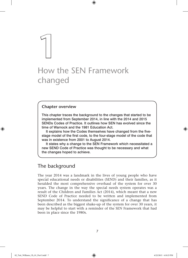# **1** How the SEN Framework changed

 $\bigoplus$ 

# **Chapter overview**

This chapter traces the background to the changes that started to be implemented from September 2014, in line with the 2014 and 2015 SENDs Codes of Practice. It outlines how SEN has evolved since the time of Warnock and the 1981 Education Act.

It explains how the Codes themselves have changed from the fivestage model of the first code, to the four-stage model of the code that was in existence from 2001 to August 2014.

It states why a change to the SEN Framework which necessitated a new SEND Code of Practice was thought to be necessary and what the changes hoped to achieve.

# The background

The year 2014 was a landmark in the lives of young people who have special educational needs or disabilities (SEND) and their families, as it heralded the most comprehensive overhaul of the system for over 30 years. The change in the way the special needs system operates was a result of the Children and Families Act (2014), which meant that a new SEND Code of Practice needed to be written and implemented from September 2014. To understand the significance of a change that has been described as the biggest shake-up of the system for over 30 years, it may be helpful to start with a reminder of the SEN Framework that had been in place since the 1980s.

⊕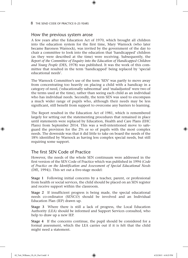8 THE SEND CODE OF PRACTICE 0–25 YEARS

# How the previous system arose

A few years after the Education Act of 1970, which brought all children into the education system for the first time, Mary Warnock (who later became Baroness Warnock), was invited by the government of the day to chair a committee to look into the education that 'handicapped' children (as they were described at the time) were receiving. Subsequently, the *Report of the Committee of Enquiry into the Education of Handicapped Children and Young People* (DES, 1978) was published. It was the work of this committee that resulted in the term 'handicapped' being replaced by 'special educational needs'.

⊕

The Warnock Committee's use of the term 'SEN' was partly to move away from concentrating too heavily on placing a child with a handicap in a category of need, ('educationally subnormal' and 'maladjusted' were two of the terms used at the time), rather than seeing each child as an individual who has individual needs. Secondly, the term SEN was used to encompass a much wider range of pupils who, although their needs may be less significant, still benefit from support to overcome any barriers to learning.

The Report resulted in the Education Act of 1981, which is remembered largely for setting out the statementing procedures that remained in place until statements were replaced by Education, Health and Care Plans (EHC Plans) from September 2014. This was a well-intentioned move to safeguard the provision for the 2% or so of pupils with the most complex needs. The downside was that it did little to take on board the needs of the 18% identified by Warnock as having less complex special needs, but still requiring some support.

# The first SEN Code of Practice

However, the needs of the whole SEN continuum were addressed in the first version of the SEN Code of Practice which was published in 1994 (*Code of Practice on the Identification and Assessment of Special Educational Needs*  (DfE, 1994)). This set out a five-stage model:

**Stage 1** Following initial concerns by a teacher, parent, or professional from health or social services, the child should be placed on an SEN register and receive support within the classroom.

**Stage 2** If insufficient progress is being made, the special educational needs co-ordinator (SENCO) should be involved and an Individual Education Plan (IEP) drawn up.

**Stage 3** Where there is still a lack of progress, the Local Education Authority (LEA) should be informed and Support Services consulted, who help to draw up a new IEP.

**Stage 4** If the concerns continue, the pupil should be considered for a formal assessment, which the LEA carries out if it is felt that the child might need a statement.

♠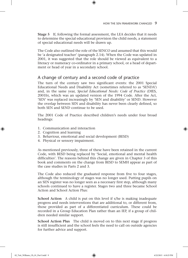**Stage 5** If, following the formal assessment, the LEA decides that it needs to determine the special educational provision the child needs, a statement of special educational needs will be drawn up.

 $\textcircled{\scriptsize{*}}$ 

The Code also outlined the role of the SENCO and assumed that this would be 'a designated teacher' (paragraph 2.14). When the Code was updated in 2001, it was suggested that the role should be viewed as equivalent to a literacy or numeracy co-ordinator in a primary school, or a head of department or head of year in a secondary school.

# A change of century and a second code of practice

The turn of the century saw two significant events: the 2001 Special Educational Needs and Disability Act (sometimes referred to as 'SENDA') and, in the same year, *Special Educational Needs: Code of Practice* (DfES, 2001b), which was an updated version of the 1994 Code. After the Act, 'SEN' was replaced increasingly by 'SEN and disability' or SEND. However the overlap between SEN and disability has never been clearly defined, so both SEN and SEND continue to be used.

The 2001 Code of Practice described children's needs under four broad headings:

- 1. Communication and interaction
- 2. Cognition and learning
- 3. Behaviour, emotional and social development (BESD)
- 4. Physical or sensory impairment.

As mentioned previously, three of these have been retained in the current Code, with BESD being replaced by 'Social, emotional and mental health difficulties'. The reasons behind this change are given in Chapter 3 of this book and comments on the change from BESD to SEMH appear as part of the case studies in Parts 2 and 3.

The Code also reduced the graduated response from five to four stages, although the terminology of stages was no longer used. Putting pupils on an SEN register was no longer seen as a necessary first step, although many schools continued to have a register. Stages two and three became School Action and School Action Plus:

**School Action** A child is put on this level if s/he is making inadequate progress and needs interventions that are additional to, or different from, those provided as part of a differentiated curriculum. These could be recorded in a Group Education Plan rather than an IEP, if a group of children needed similar support.

**School Action Plus** The child is moved on to this next stage if progress is still insufficient and the school feels the need to call on outside agencies for further advice and support.

02\_Tutt\_Williams\_Ch\_01\_Part I.indd 9 4/22/2015 4:10:25 PM

♠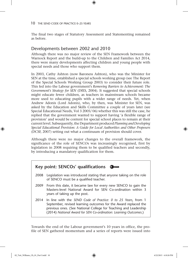#### 10 THE SEND CODE OF PRACTICE 0–25 YEARS

The final two stages of Statutory Assessment and Statementing remained as before.

 $\textcircled{\scriptsize{*}}$ 

# Developments between 2002 and 2010

Although there was no major review of the SEN Framework between the Warnock Report and the build-up to the Children and Families Act 2014, there were many developments affecting children and young people with special needs and those who support them.

In 2003, Cathy Ashton (now Baroness Ashton), who was the Minister for SEN at the time, established a special schools working group (see The Report of the Special Schools Working Group 2003) to consider their future role. This fed into the Labour government's *Removing Barriers to Achievement: The Government's Strategy for SEN* (DfES, 2004). It suggested that special schools might educate fewer children, as teachers in mainstream schools became more used to educating pupils with a wider range of needs. Yet, when Andrew Adonis (Lord Adonis), who, by then, was Minister for SEN, was asked by the Education and Skills Committee a couple of years later (see Special Educational Needs, Vol 3 2005/ 06) whether this was still the case, he replied that the government wanted to support having 'a flexible range of provision' and would be content for special school places to remain at their current level. Subsequently, the Department produced *Planning and Developing Special Educational Provision: A Guide for Local Authorities and Other Proposers*  (DCSF, 2007) setting out what a continuum of provision should cover.

Although there were no major changes to the overall framework, the significance of the role of SENCOs was increasingly recognised, first by legislation in 2008 requiring them to be qualified teachers and secondly, by introducing a mandatory qualification for them.



Towards the end of the Labour government's 10 years in office, the profile of SEN gathered momentum and a series of reports were issued into

♠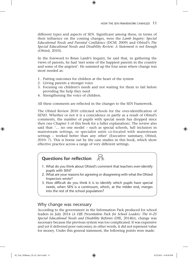#### HOW THE SEN FRAMEWORK CHANGED 11

different types and aspects of SEN. Significant among these, in terms of their influence on the coming changes, were the *Lamb Inquiry: Special Educational Needs and Parental Confidence* (DCSF, 2009) and Ofsted's *The Special Educational Needs and Disability Review: A Statement is not Enough*  (Ofsted, 2010).

⊕

In the foreword to Brian Lamb's Inquiry, he said that, in gathering the views of parents, he had 'met some of the happiest parents in the country and some of the angriest'. He summed up the four areas where change was most needed as:

- 1. Putting outcomes for children at the heart of the system
- 2. Giving parents a stronger voice
- 3. Focusing on children's needs and not waiting for them to fail before providing the help they need
- 4. Strengthening the voice of children.

All these comments are reflected in the changes to the SEN Framework.

The Ofsted Review 2010 criticised schools for the over-identification of SEND. Whether or not it is a coincidence or partly as a result of Ofsted's comments, the number of pupils with special needs has dropped since then (see Chapter 5 of this book for a fuller explanation). The review also said that: '… no one model – such as special schools, full inclusion in mainstream settings, or specialist units co-located with mainstream settings – worked better than any other' (Executive summary, Ofsted, 2010: 7). This is borne out by the case studies in this book, which show effective practice across a range of very different settings.



- 1. What do you think about Ofsted's comment that teachers over-identify pupils with SEN?
- 2. What are your reasons for agreeing or disagreeing with what the Ofsted Inspectors wrote?
- 3. How difficult do you think it is to identify which pupils have special needs, when SEN is a continuum, which, at the milder end, merges into the rest of the school population?

### Why change was necessary

According to the government in the Information Pack produced for school leaders in July 2014 (*A DfE Presentation Pack for School Leaders: The 0–25 Special Educational Needs and Disability Reforms* (DfE, 2014b)), change was necessary because the previous system was too complicated. It was expensive and yet it delivered poor outcomes; in other words, it did not represent value for money. Under this general statement, the following points were made:

02\_Tutt\_Williams\_Ch\_01\_Part I.indd 11 4/22/2015 4:10:26 PM

♠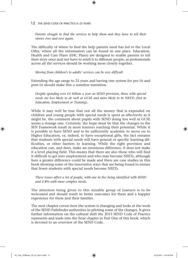#### 12 THE SEND CODE OF PRACTICE 0–25 YEARS

*Parents struggle to find the services to help them and they have to tell their stories over and over again.*

 $\textcircled{\scriptsize{*}}$ 

The difficulty of where to find the help parents need has led to the Local Offer, where all the information can be found in one place. Education, Health and Care Plans (EHC Plans) are designed to enable parents to tell their story once and not have to retell it to different people, as professionals across all the services should be working more closely together.

*Moving from children's to adults' services can be very difficult*.

Extending the age range to 25 years and having one system for pre-16 and post-16 should make this a seamless transition.

*Despite spending over £5 billion a year on SEND provision, those with special needs are less likely to do well at GCSE and more likely to be NEETs (Not in Education, Employment or Training).* 

While it may well be true that not all the money that is expended on children and young people with special needs is spent as effectively as it might be, the comment about pupils with SEND doing less well at GCSE seems a strange one. Certainly, the hope must be that the changes to the SEN Framework result in more learners reaching their potential. While it is possible to have SEND and to be sufficiently academic to move on to Higher Education, or, indeed, to have exceptional gifts, the fact remains that students with special needs will have general or specific learning difficulties, or other barriers to learning. While the right provision and education can, and does, make an enormous difference, it does not make it a level playing field. This means that there are also those who will find it difficult to get into employment and who may become NEETs, although here a greater difference could be made and there are case studies in this book showing some of the innovative ways that are being found to ensure that fewer students with special needs become NEETs.

*These issues affect a lot of people, with one in five being identified with SEND and 2.8% with more complex needs.* 

The attention being given to this sizeable group of learners is to be welcomed and should result in better outcomes for them and a happier experience for them and their families.

The next chapter covers how the system is changing and looks at the work of the SEND Pathfinder authorities in piloting some of the changes. It gives further information on the cultural shift the 2015 SEND Code of Practice represents and leads into the final chapter in Part One of this book, which is devoted to an overview of the SEND Code.

♠